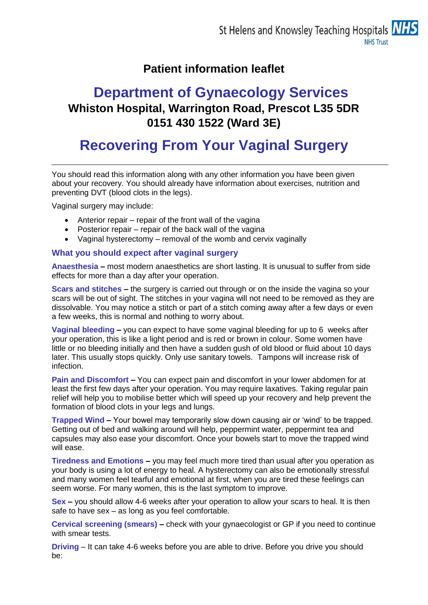### **Patient information leaflet**

## **Department of Gynaecology Services Whiston Hospital, Warrington Road, Prescot L35 5DR 0151 430 1522 (Ward 3E)**

# **Recovering From Your Vaginal Surgery**

You should read this information along with any other information you have been given about your recovery. You should already have information about exercises, nutrition and preventing DVT (blood clots in the legs).

Vaginal surgery may include:

- Anterior repair repair of the front wall of the vagina
- Posterior repair repair of the back wall of the vagina
- Vaginal hysterectomy removal of the womb and cervix vaginally

#### **What you should expect after vaginal surgery**

**Anaesthesia –** most modern anaesthetics are short lasting. It is unusual to suffer from side effects for more than a day after your operation.

**Scars and stitches –** the surgery is carried out through or on the inside the vagina so your scars will be out of sight. The stitches in your vagina will not need to be removed as they are dissolvable. You may notice a stitch or part of a stitch coming away after a few days or even a few weeks, this is normal and nothing to worry about.

**Vaginal bleeding –** you can expect to have some vaginal bleeding for up to 6 weeks after your operation, this is like a light period and is red or brown in colour. Some women have little or no bleeding initially and then have a sudden gush of old blood or fluid about 10 days later. This usually stops quickly. Only use sanitary towels. Tampons will increase risk of infection.

**Pain and Discomfort –** You can expect pain and discomfort in your lower abdomen for at least the first few days after your operation. You may require laxatives. Taking regular pain relief will help you to mobilise better which will speed up your recovery and help prevent the formation of blood clots in your legs and lungs.

**Trapped Wind –** Your bowel may temporarily slow down causing air or 'wind' to be trapped. Getting out of bed and walking around will help, peppermint water, peppermint tea and capsules may also ease your discomfort. Once your bowels start to move the trapped wind will ease.

**Tiredness and Emotions –** you may feel much more tired than usual after you operation as your body is using a lot of energy to heal. A hysterectomy can also be emotionally stressful and many women feel tearful and emotional at first, when you are tired these feelings can seem worse. For many women, this is the last symptom to improve.

**Sex –** you should allow 4-6 weeks after your operation to allow your scars to heal. It is then safe to have sex – as long as you feel comfortable.

**Cervical screening (smears) –** check with your gynaecologist or GP if you need to continue with smear tests.

**Driving** – It can take 4-6 weeks before you are able to drive. Before you drive you should be: